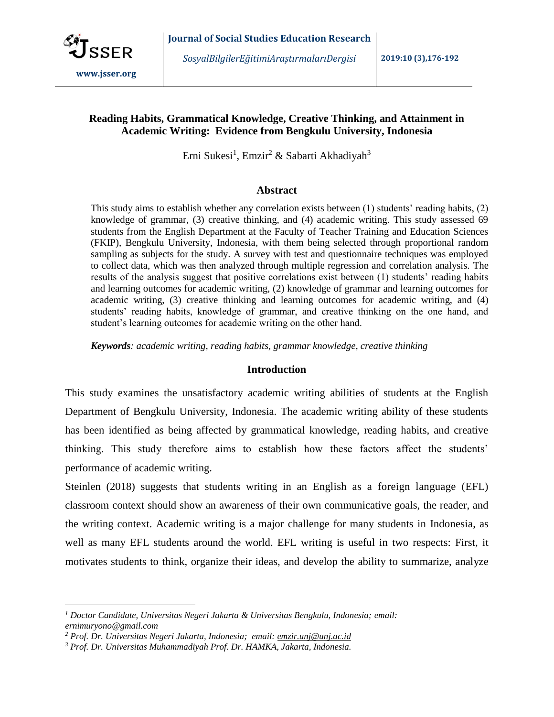

 $\overline{a}$ 

*SosyalBilgilerEğitimiAraştırmalarıDergisi* **2019:10 (3),176-192**

# **Reading Habits, Grammatical Knowledge, Creative Thinking, and Attainment in Academic Writing: Evidence from Bengkulu University, Indonesia**

Erni Sukesi<sup>1</sup>, Emzir<sup>2</sup> & Sabarti Akhadiyah<sup>3</sup>

## **Abstract**

This study aims to establish whether any correlation exists between (1) students' reading habits, (2) knowledge of grammar, (3) creative thinking, and (4) academic writing. This study assessed 69 students from the English Department at the Faculty of Teacher Training and Education Sciences (FKIP), Bengkulu University, Indonesia, with them being selected through proportional random sampling as subjects for the study. A survey with test and questionnaire techniques was employed to collect data, which was then analyzed through multiple regression and correlation analysis. The results of the analysis suggest that positive correlations exist between (1) students' reading habits and learning outcomes for academic writing, (2) knowledge of grammar and learning outcomes for academic writing, (3) creative thinking and learning outcomes for academic writing, and (4) students' reading habits, knowledge of grammar, and creative thinking on the one hand, and student's learning outcomes for academic writing on the other hand.

*Keywords: academic writing, reading habits, grammar knowledge, creative thinking*

## **Introduction**

This study examines the unsatisfactory academic writing abilities of students at the English Department of Bengkulu University, Indonesia. The academic writing ability of these students has been identified as being affected by grammatical knowledge, reading habits, and creative thinking. This study therefore aims to establish how these factors affect the students' performance of academic writing.

Steinlen (2018) suggests that students writing in an English as a foreign language (EFL) classroom context should show an awareness of their own communicative goals, the reader, and the writing context. Academic writing is a major challenge for many students in Indonesia, as well as many EFL students around the world. EFL writing is useful in two respects: First, it motivates students to think, organize their ideas, and develop the ability to summarize, analyze

*<sup>1</sup> Doctor Candidate, Universitas Negeri Jakarta & Universitas Bengkulu, Indonesia; email: ernimuryono@gmail.com*

*<sup>2</sup> Prof. Dr. Universitas Negeri Jakarta, Indonesia; email: [emzir.unj@unj.ac.id](mailto:emzir.unj@unj.ac.id)*

*<sup>3</sup> Prof. Dr. Universitas Muhammadiyah Prof. Dr. HAMKA, Jakarta, Indonesia.*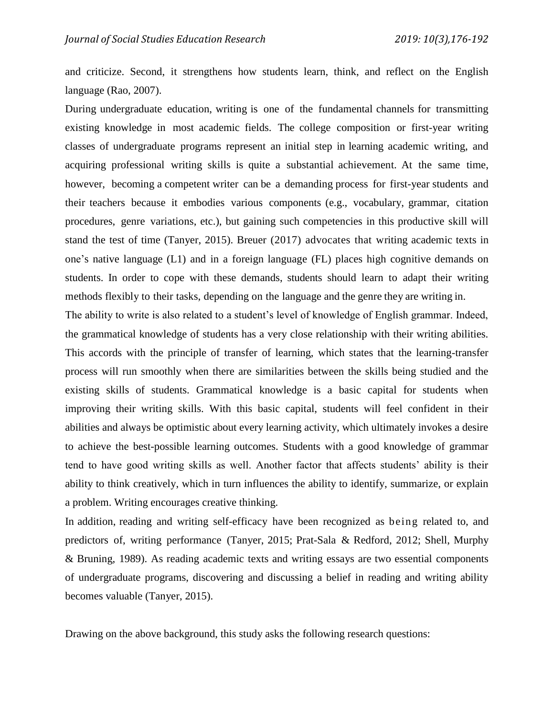and criticize. Second, it strengthens how students learn, think, and reflect on the English language (Rao, 2007).

During undergraduate education, writing is one of the fundamental channels for transmitting existing knowledge in most academic fields. The college composition or first-year writing classes of undergraduate programs represent an initial step in learning academic writing, and acquiring professional writing skills is quite a substantial achievement. At the same time, however, becoming a competent writer can be a demanding process for first-year students and their teachers because it embodies various components (e.g., vocabulary, grammar, citation procedures, genre variations, etc.), but gaining such competencies in this productive skill will stand the test of time (Tanyer, 2015). Breuer (2017) advocates that writing academic texts in one's native language (L1) and in a foreign language (FL) places high cognitive demands on students. In order to cope with these demands, students should learn to adapt their writing methods flexibly to their tasks, depending on the language and the genre they are writing in.

The ability to write is also related to a student's level of knowledge of English grammar. Indeed, the grammatical knowledge of students has a very close relationship with their writing abilities. This accords with the principle of transfer of learning, which states that the learning-transfer process will run smoothly when there are similarities between the skills being studied and the existing skills of students. Grammatical knowledge is a basic capital for students when improving their writing skills. With this basic capital, students will feel confident in their abilities and always be optimistic about every learning activity, which ultimately invokes a desire to achieve the best-possible learning outcomes. Students with a good knowledge of grammar tend to have good writing skills as well. Another factor that affects students' ability is their ability to think creatively, which in turn influences the ability to identify, summarize, or explain a problem. Writing encourages creative thinking.

In addition, reading and writing self-efficacy have been recognized as being related to, and predictors of, writing performance (Tanyer, 2015; Prat-Sala & Redford, 2012; Shell, Murphy & Bruning, 1989). As reading academic texts and writing essays are two essential components of undergraduate programs, discovering and discussing a belief in reading and writing ability becomes valuable (Tanyer, 2015).

Drawing on the above background, this study asks the following research questions: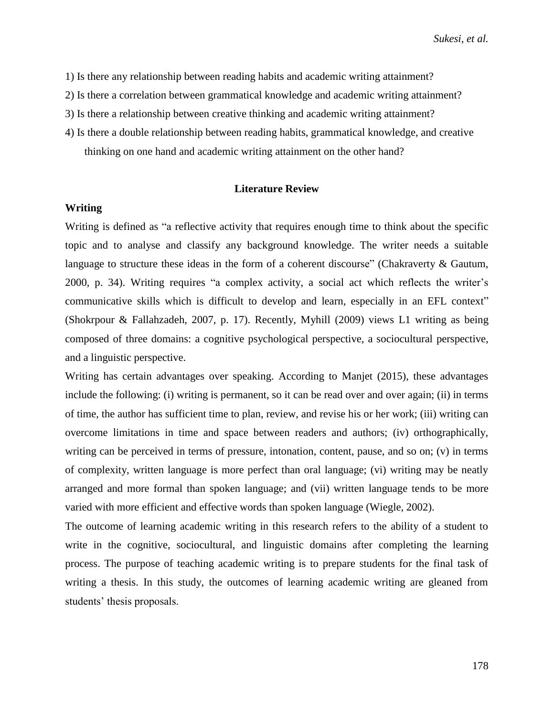*Sukesi, et al.*

- 1) Is there any relationship between reading habits and academic writing attainment?
- 2) Is there a correlation between grammatical knowledge and academic writing attainment?
- 3) Is there a relationship between creative thinking and academic writing attainment?
- 4) Is there a double relationship between reading habits, grammatical knowledge, and creative thinking on one hand and academic writing attainment on the other hand?

#### **Literature Review**

#### **Writing**

Writing is defined as "a reflective activity that requires enough time to think about the specific topic and to analyse and classify any background knowledge. The writer needs a suitable language to structure these ideas in the form of a coherent discourse" (Chakraverty  $\&$  Gautum, 2000, p. 34). Writing requires "a complex activity, a social act which reflects the writer's communicative skills which is difficult to develop and learn, especially in an EFL context" (Shokrpour & Fallahzadeh, 2007, p. 17). Recently, Myhill (2009) views L1 writing as being composed of three domains: a cognitive psychological perspective, a sociocultural perspective, and a linguistic perspective.

Writing has certain advantages over speaking. According to Manjet (2015), these advantages include the following: (i) writing is permanent, so it can be read over and over again; (ii) in terms of time, the author has sufficient time to plan, review, and revise his or her work; (iii) writing can overcome limitations in time and space between readers and authors; (iv) orthographically, writing can be perceived in terms of pressure, intonation, content, pause, and so on; (v) in terms of complexity, written language is more perfect than oral language; (vi) writing may be neatly arranged and more formal than spoken language; and (vii) written language tends to be more varied with more efficient and effective words than spoken language (Wiegle, 2002).

The outcome of learning academic writing in this research refers to the ability of a student to write in the cognitive, sociocultural, and linguistic domains after completing the learning process. The purpose of teaching academic writing is to prepare students for the final task of writing a thesis. In this study, the outcomes of learning academic writing are gleaned from students' thesis proposals.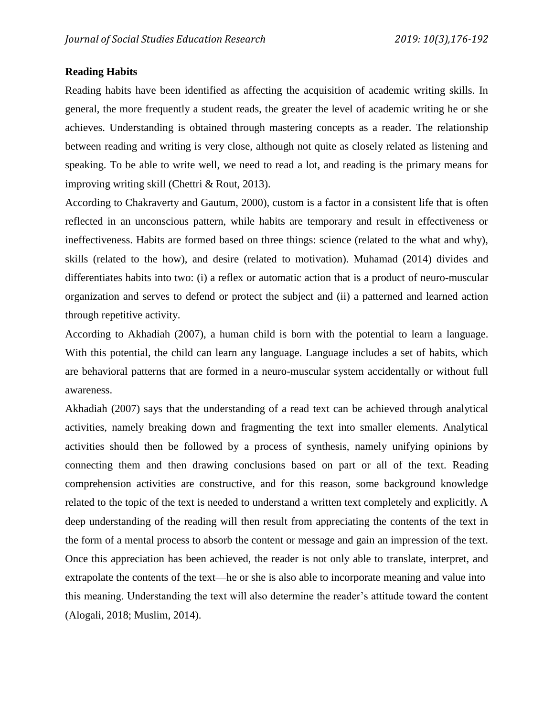# **Reading Habits**

Reading habits have been identified as affecting the acquisition of academic writing skills. In general, the more frequently a student reads, the greater the level of academic writing he or she achieves. Understanding is obtained through mastering concepts as a reader. The relationship between reading and writing is very close, although not quite as closely related as listening and speaking. To be able to write well, we need to read a lot, and reading is the primary means for improving writing skill (Chettri & Rout, 2013).

According to Chakraverty and Gautum, 2000), custom is a factor in a consistent life that is often reflected in an unconscious pattern, while habits are temporary and result in effectiveness or ineffectiveness. Habits are formed based on three things: science (related to the what and why), skills (related to the how), and desire (related to motivation). Muhamad (2014) divides and differentiates habits into two: (i) a reflex or automatic action that is a product of neuro-muscular organization and serves to defend or protect the subject and (ii) a patterned and learned action through repetitive activity.

According to Akhadiah (2007), a human child is born with the potential to learn a language. With this potential, the child can learn any language. Language includes a set of habits, which are behavioral patterns that are formed in a neuro-muscular system accidentally or without full awareness.

Akhadiah (2007) says that the understanding of a read text can be achieved through analytical activities, namely breaking down and fragmenting the text into smaller elements. Analytical activities should then be followed by a process of synthesis, namely unifying opinions by connecting them and then drawing conclusions based on part or all of the text. Reading comprehension activities are constructive, and for this reason, some background knowledge related to the topic of the text is needed to understand a written text completely and explicitly. A deep understanding of the reading will then result from appreciating the contents of the text in the form of a mental process to absorb the content or message and gain an impression of the text. Once this appreciation has been achieved, the reader is not only able to translate, interpret, and extrapolate the contents of the text—he or she is also able to incorporate meaning and value into this meaning. Understanding the text will also determine the reader's attitude toward the content (Alogali, 2018; Muslim, 2014).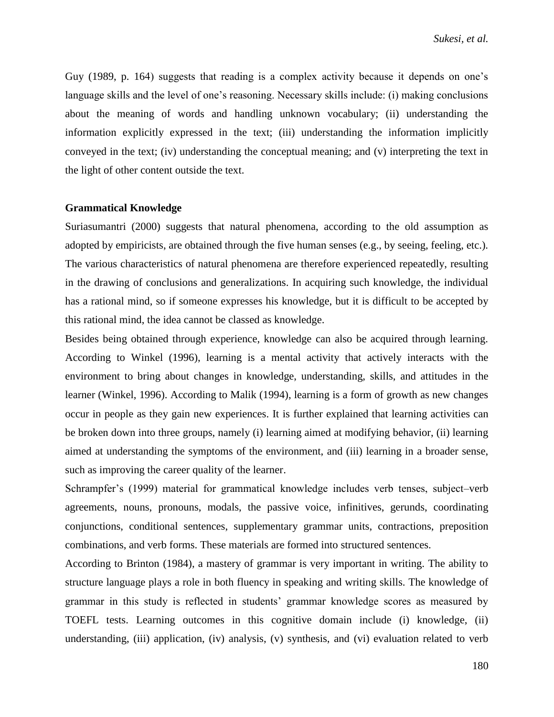Guy (1989, p. 164) suggests that reading is a complex activity because it depends on one's language skills and the level of one's reasoning. Necessary skills include: (i) making conclusions about the meaning of words and handling unknown vocabulary; (ii) understanding the information explicitly expressed in the text; (iii) understanding the information implicitly conveyed in the text; (iv) understanding the conceptual meaning; and (v) interpreting the text in the light of other content outside the text.

#### **Grammatical Knowledge**

Suriasumantri (2000) suggests that natural phenomena, according to the old assumption as adopted by empiricists, are obtained through the five human senses (e.g., by seeing, feeling, etc.). The various characteristics of natural phenomena are therefore experienced repeatedly, resulting in the drawing of conclusions and generalizations. In acquiring such knowledge, the individual has a rational mind, so if someone expresses his knowledge, but it is difficult to be accepted by this rational mind, the idea cannot be classed as knowledge.

Besides being obtained through experience, knowledge can also be acquired through learning. According to Winkel (1996), learning is a mental activity that actively interacts with the environment to bring about changes in knowledge, understanding, skills, and attitudes in the learner (Winkel, 1996). According to Malik (1994), learning is a form of growth as new changes occur in people as they gain new experiences. It is further explained that learning activities can be broken down into three groups, namely (i) learning aimed at modifying behavior, (ii) learning aimed at understanding the symptoms of the environment, and (iii) learning in a broader sense, such as improving the career quality of the learner.

Schrampfer's (1999) material for grammatical knowledge includes verb tenses, subject–verb agreements, nouns, pronouns, modals, the passive voice, infinitives, gerunds, coordinating conjunctions, conditional sentences, supplementary grammar units, contractions, preposition combinations, and verb forms. These materials are formed into structured sentences.

According to Brinton (1984), a mastery of grammar is very important in writing. The ability to structure language plays a role in both fluency in speaking and writing skills. The knowledge of grammar in this study is reflected in students' grammar knowledge scores as measured by TOEFL tests. Learning outcomes in this cognitive domain include (i) knowledge, (ii) understanding, (iii) application, (iv) analysis, (v) synthesis, and (vi) evaluation related to verb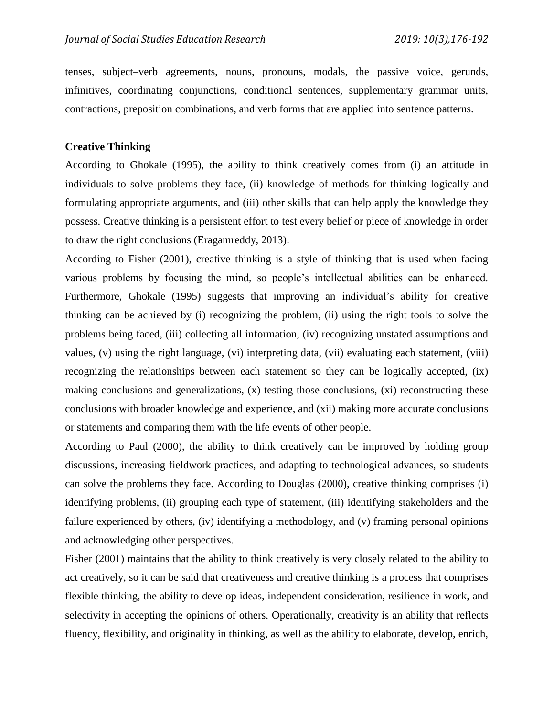tenses, subject–verb agreements, nouns, pronouns, modals, the passive voice, gerunds, infinitives, coordinating conjunctions, conditional sentences, supplementary grammar units, contractions, preposition combinations, and verb forms that are applied into sentence patterns.

## **Creative Thinking**

According to Ghokale (1995), the ability to think creatively comes from (i) an attitude in individuals to solve problems they face, (ii) knowledge of methods for thinking logically and formulating appropriate arguments, and (iii) other skills that can help apply the knowledge they possess. Creative thinking is a persistent effort to test every belief or piece of knowledge in order to draw the right conclusions (Eragamreddy, 2013).

According to Fisher (2001), creative thinking is a style of thinking that is used when facing various problems by focusing the mind, so people's intellectual abilities can be enhanced. Furthermore, Ghokale (1995) suggests that improving an individual's ability for creative thinking can be achieved by (i) recognizing the problem, (ii) using the right tools to solve the problems being faced, (iii) collecting all information, (iv) recognizing unstated assumptions and values, (v) using the right language, (vi) interpreting data, (vii) evaluating each statement, (viii) recognizing the relationships between each statement so they can be logically accepted, (ix) making conclusions and generalizations, (x) testing those conclusions, (xi) reconstructing these conclusions with broader knowledge and experience, and (xii) making more accurate conclusions or statements and comparing them with the life events of other people.

According to Paul (2000), the ability to think creatively can be improved by holding group discussions, increasing fieldwork practices, and adapting to technological advances, so students can solve the problems they face. According to Douglas (2000), creative thinking comprises (i) identifying problems, (ii) grouping each type of statement, (iii) identifying stakeholders and the failure experienced by others, (iv) identifying a methodology, and (v) framing personal opinions and acknowledging other perspectives.

Fisher (2001) maintains that the ability to think creatively is very closely related to the ability to act creatively, so it can be said that creativeness and creative thinking is a process that comprises flexible thinking, the ability to develop ideas, independent consideration, resilience in work, and selectivity in accepting the opinions of others. Operationally, creativity is an ability that reflects fluency, flexibility, and originality in thinking, as well as the ability to elaborate, develop, enrich,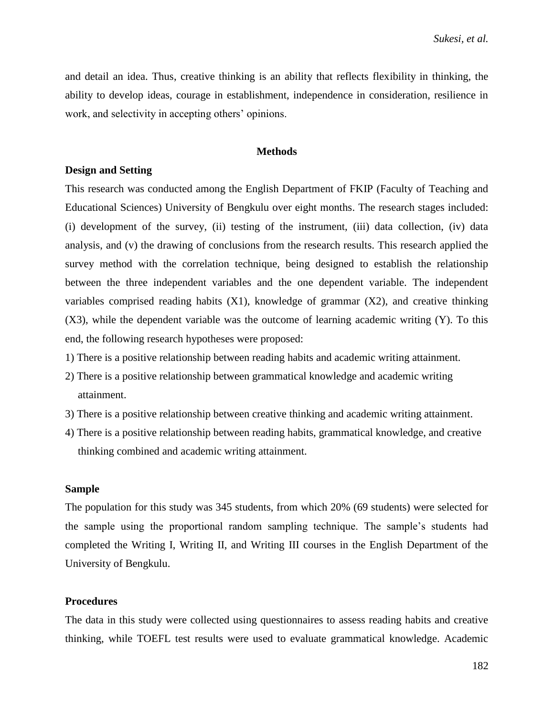and detail an idea. Thus, creative thinking is an ability that reflects flexibility in thinking, the ability to develop ideas, courage in establishment, independence in consideration, resilience in work, and selectivity in accepting others' opinions.

#### **Methods**

#### **Design and Setting**

This research was conducted among the English Department of FKIP (Faculty of Teaching and Educational Sciences) University of Bengkulu over eight months. The research stages included: (i) development of the survey, (ii) testing of the instrument, (iii) data collection, (iv) data analysis, and (v) the drawing of conclusions from the research results. This research applied the survey method with the correlation technique, being designed to establish the relationship between the three independent variables and the one dependent variable. The independent variables comprised reading habits (X1), knowledge of grammar (X2), and creative thinking (X3), while the dependent variable was the outcome of learning academic writing (Y). To this end, the following research hypotheses were proposed:

1) There is a positive relationship between reading habits and academic writing attainment.

- 2) There is a positive relationship between grammatical knowledge and academic writing attainment.
- 3) There is a positive relationship between creative thinking and academic writing attainment.
- 4) There is a positive relationship between reading habits, grammatical knowledge, and creative thinking combined and academic writing attainment.

## **Sample**

The population for this study was 345 students, from which 20% (69 students) were selected for the sample using the proportional random sampling technique. The sample's students had completed the Writing I, Writing II, and Writing III courses in the English Department of the University of Bengkulu.

#### **Procedures**

The data in this study were collected using questionnaires to assess reading habits and creative thinking, while TOEFL test results were used to evaluate grammatical knowledge. Academic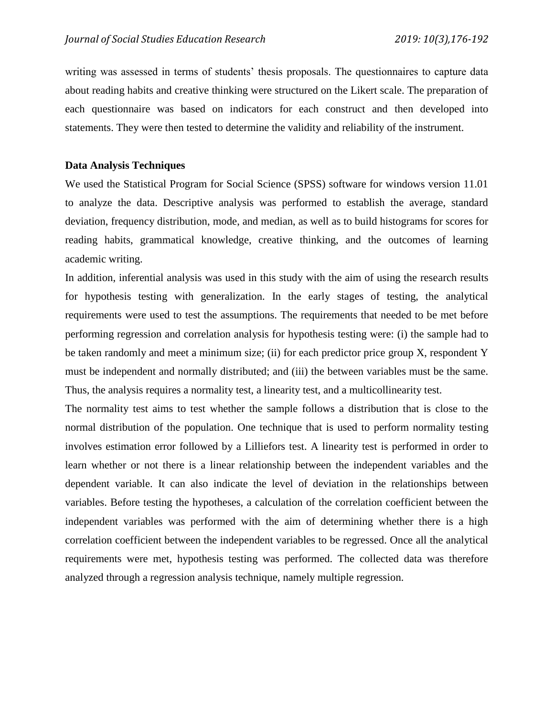writing was assessed in terms of students' thesis proposals. The questionnaires to capture data about reading habits and creative thinking were structured on the Likert scale. The preparation of each questionnaire was based on indicators for each construct and then developed into statements. They were then tested to determine the validity and reliability of the instrument.

### **Data Analysis Techniques**

We used the Statistical Program for Social Science (SPSS) software for windows version 11.01 to analyze the data. Descriptive analysis was performed to establish the average, standard deviation, frequency distribution, mode, and median, as well as to build histograms for scores for reading habits, grammatical knowledge, creative thinking, and the outcomes of learning academic writing.

In addition, inferential analysis was used in this study with the aim of using the research results for hypothesis testing with generalization. In the early stages of testing, the analytical requirements were used to test the assumptions. The requirements that needed to be met before performing regression and correlation analysis for hypothesis testing were: (i) the sample had to be taken randomly and meet a minimum size; (ii) for each predictor price group X, respondent Y must be independent and normally distributed; and (iii) the between variables must be the same. Thus, the analysis requires a normality test, a linearity test, and a multicollinearity test.

The normality test aims to test whether the sample follows a distribution that is close to the normal distribution of the population. One technique that is used to perform normality testing involves estimation error followed by a Lilliefors test. A linearity test is performed in order to learn whether or not there is a linear relationship between the independent variables and the dependent variable. It can also indicate the level of deviation in the relationships between variables. Before testing the hypotheses, a calculation of the correlation coefficient between the independent variables was performed with the aim of determining whether there is a high correlation coefficient between the independent variables to be regressed. Once all the analytical requirements were met, hypothesis testing was performed. The collected data was therefore analyzed through a regression analysis technique, namely multiple regression.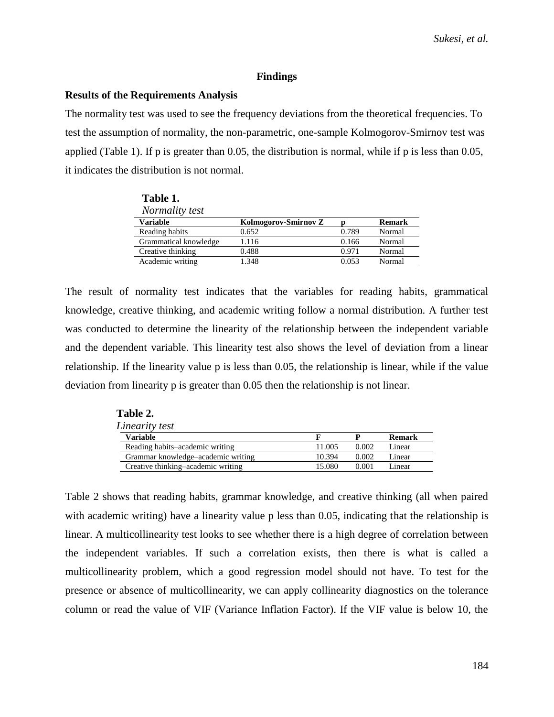#### **Findings**

#### **Results of the Requirements Analysis**

**Table 2.** 

The normality test was used to see the frequency deviations from the theoretical frequencies. To test the assumption of normality, the non-parametric, one-sample Kolmogorov-Smirnov test was applied (Table 1). If p is greater than 0.05, the distribution is normal, while if p is less than 0.05, it indicates the distribution is not normal.

| Table 1.              |                      |       |               |
|-----------------------|----------------------|-------|---------------|
| Normality test        |                      |       |               |
| <b>Variable</b>       | Kolmogorov-Smirnov Z |       | <b>Remark</b> |
| Reading habits        | 0.652                | 0.789 | Normal        |
| Grammatical knowledge | 1.116                | 0.166 | Normal        |
| Creative thinking     | 0.488                | 0.971 | Normal        |
| Academic writing      | 1.348                | 0.053 | Normal        |

The result of normality test indicates that the variables for reading habits, grammatical knowledge, creative thinking, and academic writing follow a normal distribution. A further test was conducted to determine the linearity of the relationship between the independent variable and the dependent variable. This linearity test also shows the level of deviation from a linear relationship. If the linearity value p is less than 0.05, the relationship is linear, while if the value deviation from linearity p is greater than 0.05 then the relationship is not linear.

| Linearity test                     |        |       |               |  |
|------------------------------------|--------|-------|---------------|--|
| <b>Variable</b>                    |        |       | <b>Remark</b> |  |
| Reading habits-academic writing    | 11.005 | 0.002 | Linear        |  |
| Grammar knowledge-academic writing | 10.394 | 0.002 | Linear        |  |
| Creative thinking–academic writing | 15.080 | 0.001 | Linear        |  |
|                                    |        |       |               |  |

Table 2 shows that reading habits, grammar knowledge, and creative thinking (all when paired with academic writing) have a linearity value p less than 0.05, indicating that the relationship is linear. A multicollinearity test looks to see whether there is a high degree of correlation between the independent variables. If such a correlation exists, then there is what is called a multicollinearity problem, which a good regression model should not have. To test for the presence or absence of multicollinearity, we can apply collinearity diagnostics on the tolerance column or read the value of VIF (Variance Inflation Factor). If the VIF value is below 10, the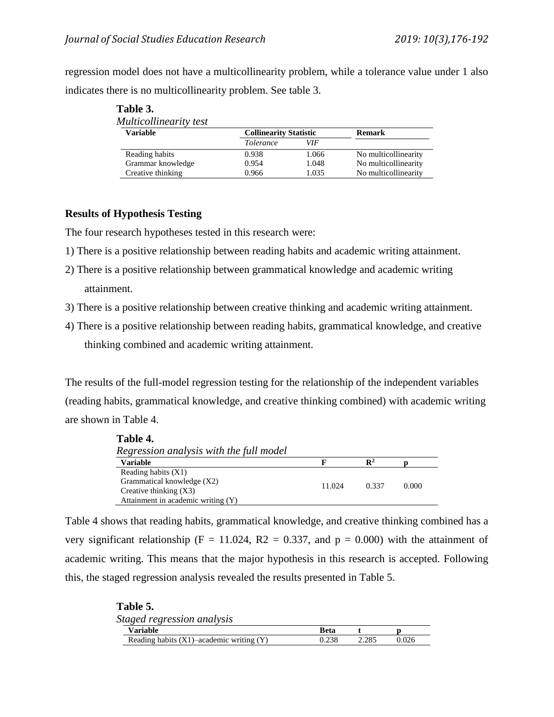regression model does not have a multicollinearity problem, while a tolerance value under 1 also indicates there is no multicollinearity problem. See table 3.

| Multicollinearity test |                               |       |                      |  |
|------------------------|-------------------------------|-------|----------------------|--|
| <b>Variable</b>        | <b>Collinearity Statistic</b> |       | <b>Remark</b>        |  |
|                        | <i>Tolerance</i>              | VIF   |                      |  |
| Reading habits         | 0.938                         | 1.066 | No multicollinearity |  |
| Grammar knowledge      | 0.954                         | 1.048 | No multicollinearity |  |
| Creative thinking      | 0.966                         | 1.035 | No multicollinearity |  |

# **Table 3.**

# **Results of Hypothesis Testing**

**Table 5.** 

The four research hypotheses tested in this research were:

- 1) There is a positive relationship between reading habits and academic writing attainment.
- 2) There is a positive relationship between grammatical knowledge and academic writing attainment.
- 3) There is a positive relationship between creative thinking and academic writing attainment.
- 4) There is a positive relationship between reading habits, grammatical knowledge, and creative thinking combined and academic writing attainment.

The results of the full-model regression testing for the relationship of the independent variables (reading habits, grammatical knowledge, and creative thinking combined) with academic writing are shown in Table 4.

| Table 4.                                |        |                |       |  |
|-----------------------------------------|--------|----------------|-------|--|
| Regression analysis with the full model |        |                |       |  |
| <b>Variable</b>                         | F      | $\mathbf{R}^2$ |       |  |
| Reading habits $(X1)$                   |        |                |       |  |
| Grammatical knowledge (X2)              | 11.024 | 0.337          | 0.000 |  |
| Creative thinking $(X3)$                |        |                |       |  |
| Attainment in academic writing (Y)      |        |                |       |  |

Table 4 shows that reading habits, grammatical knowledge, and creative thinking combined has a very significant relationship ( $F = 11.024$ ,  $R2 = 0.337$ , and  $p = 0.000$ ) with the attainment of academic writing. This means that the major hypothesis in this research is accepted. Following this, the staged regression analysis revealed the results presented in Table 5.

| Tavit J.                                      |       |       |       |  |
|-----------------------------------------------|-------|-------|-------|--|
| Staged regression analysis                    |       |       |       |  |
| <b>Variable</b>                               | Beta  |       |       |  |
| Reading habits $(X1)$ —academic writing $(Y)$ | 0.238 | 2.285 | 0.026 |  |
|                                               |       |       |       |  |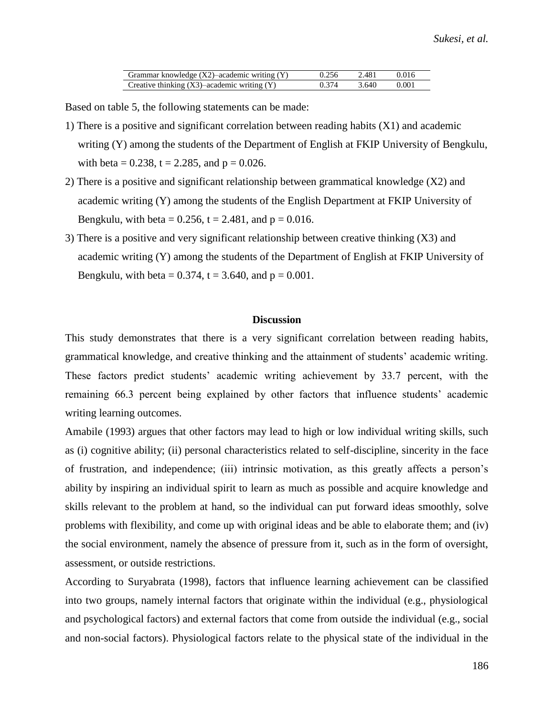| Grammar knowledge $(X2)$ –academic writing $(Y)$ | 0.256 | 2.481 | 0.016 |
|--------------------------------------------------|-------|-------|-------|
| Creative thinking $(X3)$ –academic writing $(Y)$ | 0.374 | 3.640 | 0.001 |

Based on table 5, the following statements can be made:

- 1) There is a positive and significant correlation between reading habits (X1) and academic writing (Y) among the students of the Department of English at FKIP University of Bengkulu, with beta =  $0.238$ , t = 2.285, and p = 0.026.
- 2) There is a positive and significant relationship between grammatical knowledge (X2) and academic writing (Y) among the students of the English Department at FKIP University of Bengkulu, with beta =  $0.256$ , t =  $2.481$ , and p =  $0.016$ .
- 3) There is a positive and very significant relationship between creative thinking (X3) and academic writing (Y) among the students of the Department of English at FKIP University of Bengkulu, with beta =  $0.374$ , t = 3.640, and p = 0.001.

# **Discussion**

This study demonstrates that there is a very significant correlation between reading habits, grammatical knowledge, and creative thinking and the attainment of students' academic writing. These factors predict students' academic writing achievement by 33.7 percent, with the remaining 66.3 percent being explained by other factors that influence students' academic writing learning outcomes.

Amabile (1993) argues that other factors may lead to high or low individual writing skills, such as (i) cognitive ability; (ii) personal characteristics related to self-discipline, sincerity in the face of frustration, and independence; (iii) intrinsic motivation, as this greatly affects a person's ability by inspiring an individual spirit to learn as much as possible and acquire knowledge and skills relevant to the problem at hand, so the individual can put forward ideas smoothly, solve problems with flexibility, and come up with original ideas and be able to elaborate them; and (iv) the social environment, namely the absence of pressure from it, such as in the form of oversight, assessment, or outside restrictions.

According to Suryabrata (1998), factors that influence learning achievement can be classified into two groups, namely internal factors that originate within the individual (e.g., physiological and psychological factors) and external factors that come from outside the individual (e.g., social and non-social factors). Physiological factors relate to the physical state of the individual in the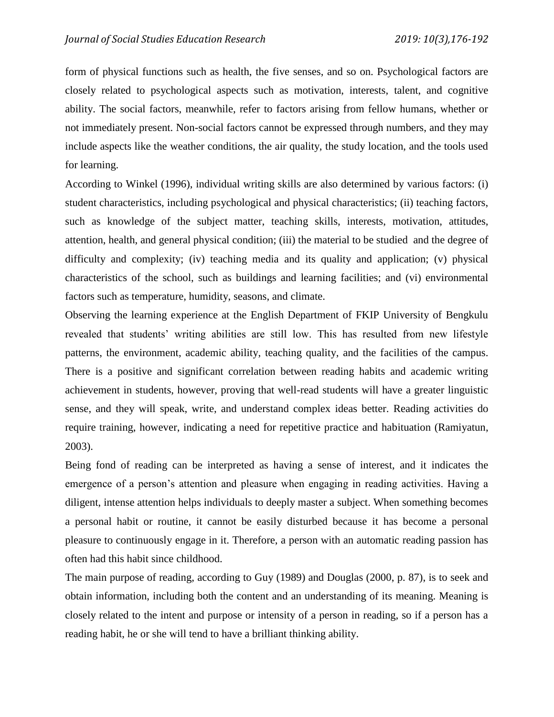form of physical functions such as health, the five senses, and so on. Psychological factors are closely related to psychological aspects such as motivation, interests, talent, and cognitive ability. The social factors, meanwhile, refer to factors arising from fellow humans, whether or not immediately present. Non-social factors cannot be expressed through numbers, and they may include aspects like the weather conditions, the air quality, the study location, and the tools used for learning.

According to Winkel (1996), individual writing skills are also determined by various factors: (i) student characteristics, including psychological and physical characteristics; (ii) teaching factors, such as knowledge of the subject matter, teaching skills, interests, motivation, attitudes, attention, health, and general physical condition; (iii) the material to be studied and the degree of difficulty and complexity; (iv) teaching media and its quality and application; (v) physical characteristics of the school, such as buildings and learning facilities; and (vi) environmental factors such as temperature, humidity, seasons, and climate.

Observing the learning experience at the English Department of FKIP University of Bengkulu revealed that students' writing abilities are still low. This has resulted from new lifestyle patterns, the environment, academic ability, teaching quality, and the facilities of the campus. There is a positive and significant correlation between reading habits and academic writing achievement in students, however, proving that well-read students will have a greater linguistic sense, and they will speak, write, and understand complex ideas better. Reading activities do require training, however, indicating a need for repetitive practice and habituation (Ramiyatun, 2003).

Being fond of reading can be interpreted as having a sense of interest, and it indicates the emergence of a person's attention and pleasure when engaging in reading activities. Having a diligent, intense attention helps individuals to deeply master a subject. When something becomes a personal habit or routine, it cannot be easily disturbed because it has become a personal pleasure to continuously engage in it. Therefore, a person with an automatic reading passion has often had this habit since childhood.

The main purpose of reading, according to Guy (1989) and Douglas (2000, p. 87), is to seek and obtain information, including both the content and an understanding of its meaning. Meaning is closely related to the intent and purpose or intensity of a person in reading, so if a person has a reading habit, he or she will tend to have a brilliant thinking ability.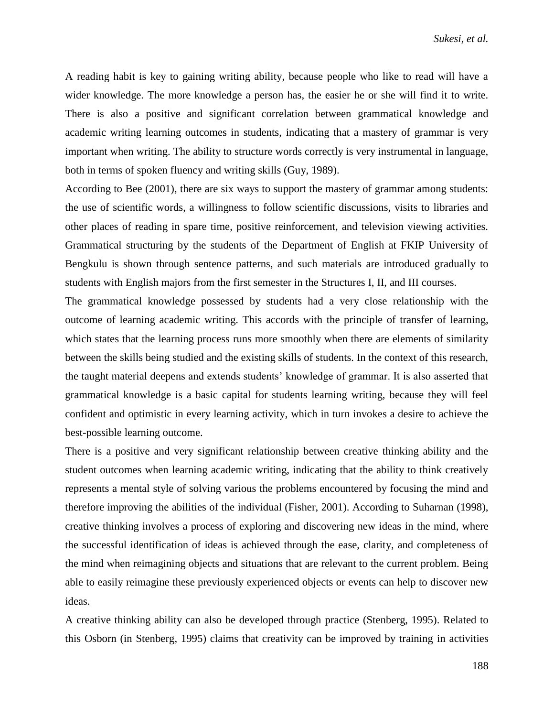A reading habit is key to gaining writing ability, because people who like to read will have a wider knowledge. The more knowledge a person has, the easier he or she will find it to write. There is also a positive and significant correlation between grammatical knowledge and academic writing learning outcomes in students, indicating that a mastery of grammar is very important when writing. The ability to structure words correctly is very instrumental in language, both in terms of spoken fluency and writing skills (Guy, 1989).

According to Bee (2001), there are six ways to support the mastery of grammar among students: the use of scientific words, a willingness to follow scientific discussions, visits to libraries and other places of reading in spare time, positive reinforcement, and television viewing activities. Grammatical structuring by the students of the Department of English at FKIP University of Bengkulu is shown through sentence patterns, and such materials are introduced gradually to students with English majors from the first semester in the Structures I, II, and III courses.

The grammatical knowledge possessed by students had a very close relationship with the outcome of learning academic writing. This accords with the principle of transfer of learning, which states that the learning process runs more smoothly when there are elements of similarity between the skills being studied and the existing skills of students. In the context of this research, the taught material deepens and extends students' knowledge of grammar. It is also asserted that grammatical knowledge is a basic capital for students learning writing, because they will feel confident and optimistic in every learning activity, which in turn invokes a desire to achieve the best-possible learning outcome.

There is a positive and very significant relationship between creative thinking ability and the student outcomes when learning academic writing, indicating that the ability to think creatively represents a mental style of solving various the problems encountered by focusing the mind and therefore improving the abilities of the individual (Fisher, 2001). According to Suharnan (1998), creative thinking involves a process of exploring and discovering new ideas in the mind, where the successful identification of ideas is achieved through the ease, clarity, and completeness of the mind when reimagining objects and situations that are relevant to the current problem. Being able to easily reimagine these previously experienced objects or events can help to discover new ideas.

A creative thinking ability can also be developed through practice (Stenberg, 1995). Related to this Osborn (in Stenberg, 1995) claims that creativity can be improved by training in activities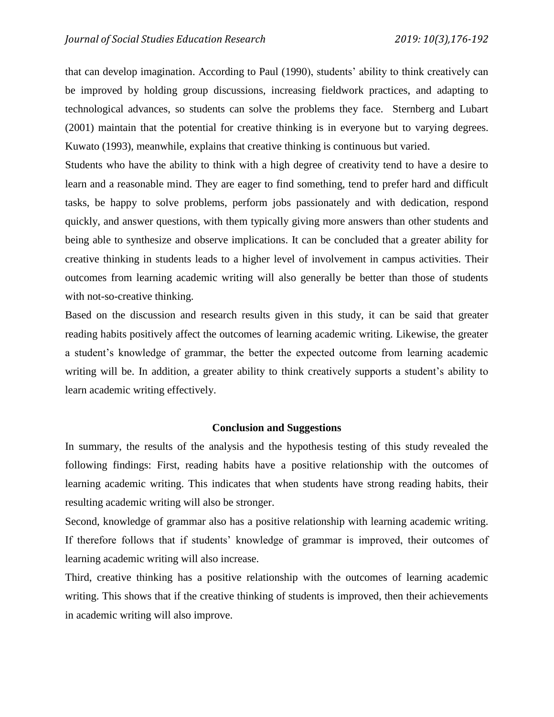that can develop imagination. According to Paul (1990), students' ability to think creatively can be improved by holding group discussions, increasing fieldwork practices, and adapting to technological advances, so students can solve the problems they face. Sternberg and Lubart (2001) maintain that the potential for creative thinking is in everyone but to varying degrees. Kuwato (1993), meanwhile, explains that creative thinking is continuous but varied.

Students who have the ability to think with a high degree of creativity tend to have a desire to learn and a reasonable mind. They are eager to find something, tend to prefer hard and difficult tasks, be happy to solve problems, perform jobs passionately and with dedication, respond quickly, and answer questions, with them typically giving more answers than other students and being able to synthesize and observe implications. It can be concluded that a greater ability for creative thinking in students leads to a higher level of involvement in campus activities. Their outcomes from learning academic writing will also generally be better than those of students with not-so-creative thinking.

Based on the discussion and research results given in this study, it can be said that greater reading habits positively affect the outcomes of learning academic writing. Likewise, the greater a student's knowledge of grammar, the better the expected outcome from learning academic writing will be. In addition, a greater ability to think creatively supports a student's ability to learn academic writing effectively.

#### **Conclusion and Suggestions**

In summary, the results of the analysis and the hypothesis testing of this study revealed the following findings: First, reading habits have a positive relationship with the outcomes of learning academic writing. This indicates that when students have strong reading habits, their resulting academic writing will also be stronger.

Second, knowledge of grammar also has a positive relationship with learning academic writing. If therefore follows that if students' knowledge of grammar is improved, their outcomes of learning academic writing will also increase.

Third, creative thinking has a positive relationship with the outcomes of learning academic writing. This shows that if the creative thinking of students is improved, then their achievements in academic writing will also improve.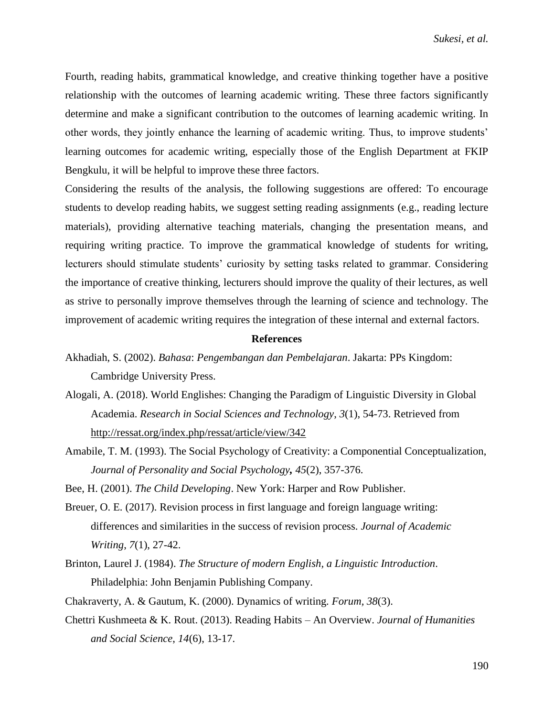Fourth, reading habits, grammatical knowledge, and creative thinking together have a positive relationship with the outcomes of learning academic writing. These three factors significantly determine and make a significant contribution to the outcomes of learning academic writing. In other words, they jointly enhance the learning of academic writing. Thus, to improve students' learning outcomes for academic writing, especially those of the English Department at FKIP Bengkulu, it will be helpful to improve these three factors.

Considering the results of the analysis, the following suggestions are offered: To encourage students to develop reading habits, we suggest setting reading assignments (e.g., reading lecture materials), providing alternative teaching materials, changing the presentation means, and requiring writing practice. To improve the grammatical knowledge of students for writing, lecturers should stimulate students' curiosity by setting tasks related to grammar. Considering the importance of creative thinking, lecturers should improve the quality of their lectures, as well as strive to personally improve themselves through the learning of science and technology. The improvement of academic writing requires the integration of these internal and external factors.

#### **References**

- Akhadiah, S. (2002). *Bahasa*: *Pengembangan dan Pembelajaran*. Jakarta: PPs Kingdom: Cambridge University Press.
- Alogali, A. (2018). World Englishes: Changing the Paradigm of Linguistic Diversity in Global Academia. *Research in Social Sciences and Technology*, *3*(1), 54-73. Retrieved from <http://ressat.org/index.php/ressat/article/view/342>
- Amabile, T. M. (1993). The Social Psychology of Creativity: a Componential Conceptualization, *Journal of Personality and Social Psychology, 45*(2), 357-376.

Bee, H. (2001). *The Child Developing*. New York: Harper and Row Publisher.

- Breuer, O. E. (2017). Revision process in first language and foreign language writing: differences and similarities in the success of revision process. *Journal of Academic Writing*, *7*(1), 27-42.
- Brinton, Laurel J. (1984). *The Structure of modern English, a Linguistic Introduction*. Philadelphia: John Benjamin Publishing Company.
- Chakraverty, A. & Gautum, K. (2000). Dynamics of writing*. Forum, 38*(3).
- Chettri Kushmeeta & K. Rout. (2013). Reading Habits An Overview. *Journal of Humanities and Social Science*, *14*(6), 13-17.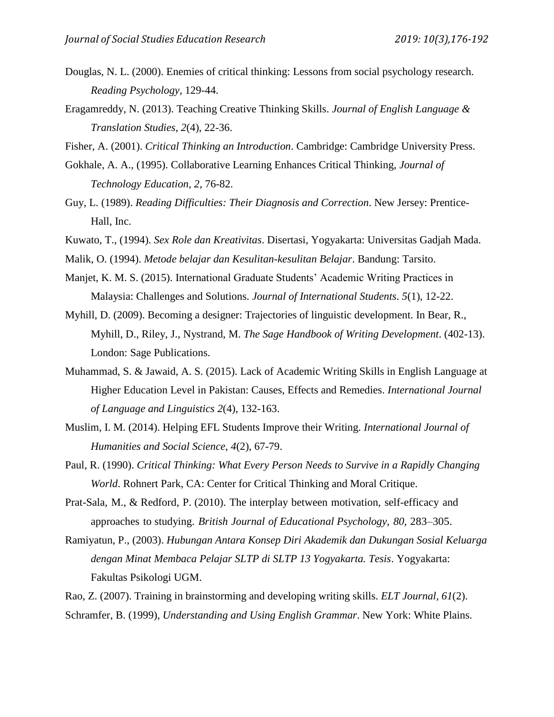- Douglas, N. L. (2000). Enemies of critical thinking: Lessons from social psychology research. *Reading Psychology*, 129-44.
- Eragamreddy, N. (2013). Teaching Creative Thinking Skills. *Journal of English Language & Translation Studies*, *2*(4), 22-36.
- Fisher, A. (2001). *Critical Thinking an Introduction*. Cambridge: Cambridge University Press.
- Gokhale, A. A., (1995). Collaborative Learning Enhances Critical Thinking, *Journal of Technology Education*, *2*, 76-82.
- Guy, L. (1989). *Reading Difficulties: Their Diagnosis and Correction*. New Jersey: Prentice-Hall, Inc.
- Kuwato, T., (1994). *Sex Role dan Kreativitas*. Disertasi, Yogyakarta: Universitas Gadjah Mada.
- Malik, O. (1994). *Metode belajar dan Kesulitan-kesulitan Belajar*. Bandung: Tarsito.
- Manjet, K. M. S. (2015). International Graduate Students' Academic Writing Practices in Malaysia: Challenges and Solutions. *Journal of International Students*. *5*(1), 12-22.
- Myhill, D. (2009). Becoming a designer: Trajectories of linguistic development. In Bear, R., Myhill, D., Riley, J., Nystrand, M. *The Sage Handbook of Writing Development*. (402-13). London: Sage Publications.
- Muhammad, S. & Jawaid, A. S. (2015). Lack of Academic Writing Skills in English Language at Higher Education Level in Pakistan: Causes, Effects and Remedies. *International Journal of Language and Linguistics 2*(4), 132-163.
- Muslim, I. M. (2014). Helping EFL Students Improve their Writing. *International Journal of Humanities and Social Science*, *4*(2), 67-79.
- Paul, R. (1990). *Critical Thinking: What Every Person Needs to Survive in a Rapidly Changing World*. Rohnert Park, CA: Center for Critical Thinking and Moral Critique.
- Prat-Sala, M., & Redford, P. (2010). The interplay between motivation, self-efficacy and approaches to studying. *British Journal of Educational Psychology*, *80*, 283–305.
- Ramiyatun, P., (2003). *Hubungan Antara Konsep Diri Akademik dan Dukungan Sosial Keluarga dengan Minat Membaca Pelajar SLTP di SLTP 13 Yogyakarta. Tesis*. Yogyakarta: Fakultas Psikologi UGM.
- [Rao, Z. \(2007\). Training in brainstorming and](https://www.researchgate.net/publication/249252609_Training_in_brainstorming_and_developing_writing_skills?el=1_x_8&enrichId=rgreq-1f72114cfc247aef10b4437e020e261e-XXX&enrichSource=Y292ZXJQYWdlOzI2NjI5MTQwOTtBUzozNDk4MjgwMDI0MDIzMDRAMTQ2MDQxNjkwMzA0MA==) [developing](https://www.researchgate.net/publication/249252609_Training_in_brainstorming_and_developing_writing_skills?el=1_x_8&enrichId=rgreq-1f72114cfc247aef10b4437e020e261e-XXX&enrichSource=Y292ZXJQYWdlOzI2NjI5MTQwOTtBUzozNDk4MjgwMDI0MDIzMDRAMTQ2MDQxNjkwMzA0MA==) writing skills. *ELT Journal, 61*(2). Schramfer, B. (1999), *Understanding and Using English Grammar*. New York: White Plains.